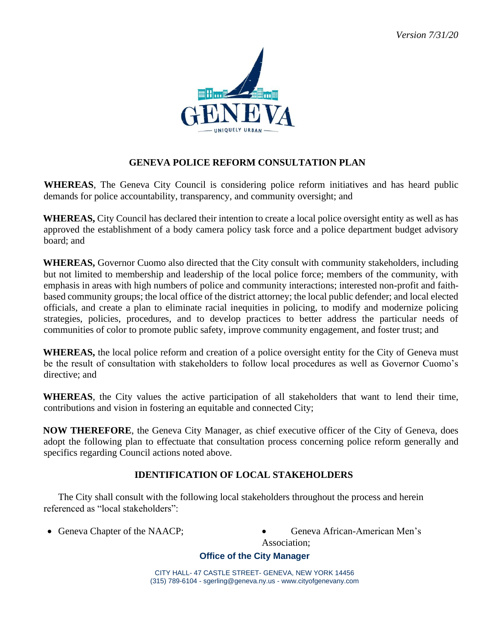

# **GENEVA POLICE REFORM CONSULTATION PLAN**

**WHEREAS**, The Geneva City Council is considering police reform initiatives and has heard public demands for police accountability, transparency, and community oversight; and

**WHEREAS,** City Council has declared their intention to create a local police oversight entity as well as has approved the establishment of a body camera policy task force and a police department budget advisory board; and

**WHEREAS,** Governor Cuomo also directed that the City consult with community stakeholders, including but not limited to membership and leadership of the local police force; members of the community, with emphasis in areas with high numbers of police and community interactions; interested non-profit and faithbased community groups; the local office of the district attorney; the local public defender; and local elected officials, and create a plan to eliminate racial inequities in policing, to modify and modernize policing strategies, policies, procedures, and to develop practices to better address the particular needs of communities of color to promote public safety, improve community engagement, and foster trust; and

**WHEREAS,** the local police reform and creation of a police oversight entity for the City of Geneva must be the result of consultation with stakeholders to follow local procedures as well as Governor Cuomo's directive; and

**WHEREAS**, the City values the active participation of all stakeholders that want to lend their time, contributions and vision in fostering an equitable and connected City;

**NOW THEREFORE**, the Geneva City Manager, as chief executive officer of the City of Geneva, does adopt the following plan to effectuate that consultation process concerning police reform generally and specifics regarding Council actions noted above.

## **IDENTIFICATION OF LOCAL STAKEHOLDERS**

The City shall consult with the following local stakeholders throughout the process and herein referenced as "local stakeholders":

- 
- Geneva Chapter of the NAACP; Geneva African-American Men's Association;

## **Office of the City Manager**

CITY HALL- 47 CASTLE STREET- GENEVA, NEW YORK 14456 (315) 789-6104 - sgerling@geneva.ny.us - www.cityofgenevany.com